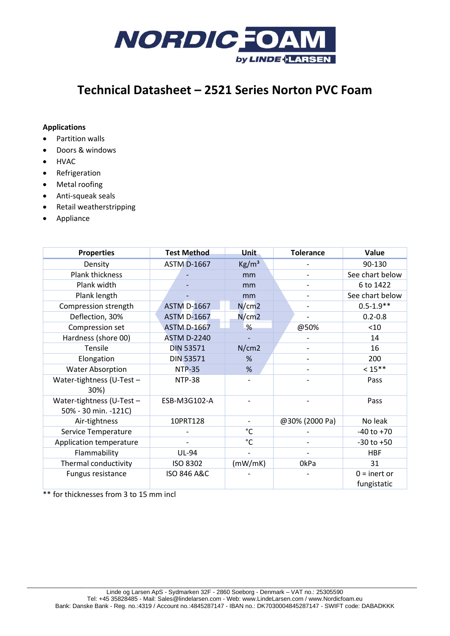

# **Technical Datasheet – 2521 Series Norton PVC Foam**

## **Applications**

- Partition walls
- Doors & windows
- HVAC
- Refrigeration
- Metal roofing
- Anti-squeak seals
- Retail weatherstripping
- Appliance

| <b>Properties</b>                                 | <b>Test Method</b>     | Unit            | <b>Tolerance</b>         | Value                         |
|---------------------------------------------------|------------------------|-----------------|--------------------------|-------------------------------|
| Density                                           | <b>ASTM D-1667</b>     | $\text{Kg/m}^3$ |                          | 90-130                        |
| Plank thickness                                   |                        | mm              |                          | See chart below               |
| Plank width                                       |                        | mm              |                          | 6 to 1422                     |
| Plank length                                      |                        | mm              |                          | See chart below               |
| Compression strength                              | <b>ASTM D-1667</b>     | N/cm2           | -                        | $0.5 - 1.9**$                 |
| Deflection, 30%                                   | <b>ASTM D-1667</b>     | N/cm2           |                          | $0.2 - 0.8$                   |
| Compression set                                   | <b>ASTM D-1667</b>     | %               | @50%                     | < 10                          |
| Hardness (shore 00)                               | <b>ASTM D-2240</b>     |                 |                          | 14                            |
| Tensile                                           | <b>DIN 53571</b>       | N/cm2           |                          | 16                            |
| Elongation                                        | <b>DIN 53571</b>       | %               |                          | 200                           |
| <b>Water Absorption</b>                           | <b>NTP-35</b>          | %               |                          | $< 15***$                     |
| Water-tightness (U-Test -<br>30%)                 | <b>NTP-38</b>          |                 |                          | Pass                          |
| Water-tightness (U-Test -<br>50% - 30 min. -121C) | ESB-M3G102-A           |                 |                          | Pass                          |
| Air-tightness                                     | 10PRT128               |                 | @30% (2000 Pa)           | No leak                       |
| Service Temperature                               |                        | $^{\circ}$ C    |                          | $-40$ to $+70$                |
| Application temperature                           |                        | $^{\circ}$ C    | $\overline{\phantom{0}}$ | $-30$ to $+50$                |
| Flammability                                      | <b>UL-94</b>           |                 |                          | <b>HBF</b>                    |
| Thermal conductivity                              | ISO 8302               | (mW/mK)         | 0kPa                     | 31                            |
| Fungus resistance                                 | <b>ISO 846 A&amp;C</b> |                 |                          | $0 =$ inert or<br>fungistatic |

\*\* for thicknesses from 3 to 15 mm incl

 $\_$  , and the set of the set of the set of the set of the set of the set of the set of the set of the set of the set of the set of the set of the set of the set of the set of the set of the set of the set of the set of th